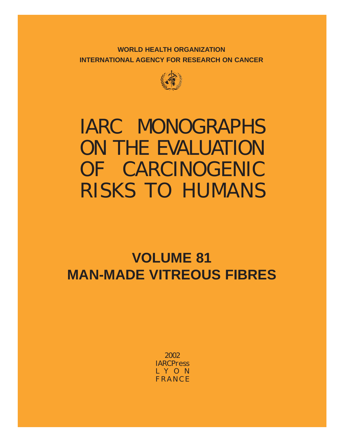**WORLD HEALTH ORGANIZATION INTERNATIONAL AGENCY FOR RESEARCH ON CANCER**



# IARC MONOGRAPHS ON THE EVALUATION OF CARCINOGENIC RISKS TO HUMANS

## **VOLUME 81 MAN-MADE VITREOUS FIBRES**

2002 IARC*Press* LYON FRANCE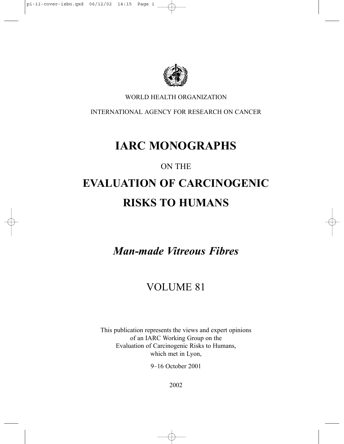

### WORLD HEALTH ORGANIZATION

INTERNATIONAL AGENCY FOR RESEARCH ON CANCER

### **IARC MONOGRAPHS**

### ON THE

## **EVALUATION OF CARCINOGENIC RISKS TO HUMANS**

*Man-made Vitreous Fibres*

### VOLUME 81

This publication represents the views and expert opinions of an IARC Working Group on the Evaluation of Carcinogenic Risks to Humans, which met in Lyon,

9–16 October 2001